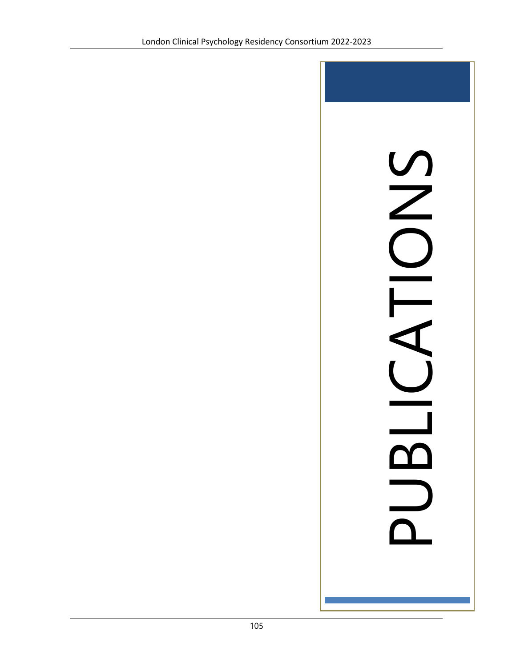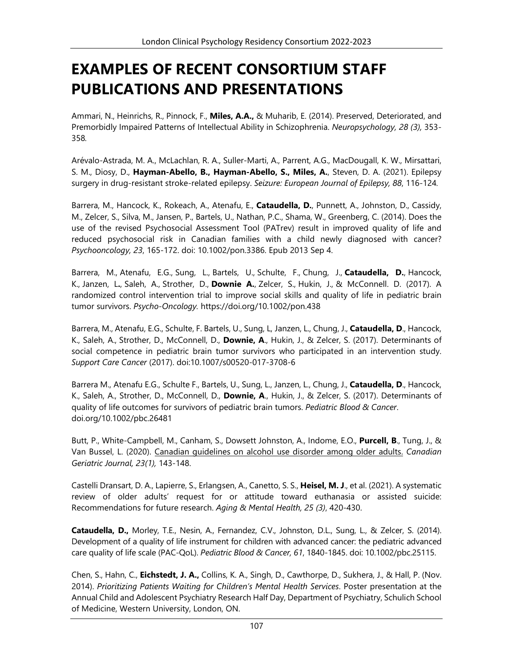## **EXAMPLES OF RECENT CONSORTIUM STAFF PUBLICATIONS AND PRESENTATIONS**

Ammari, N., Heinrichs, R., Pinnock, F., **Miles, A.A.,** & Muharib, E. (2014). Preserved, Deteriorated, and Premorbidly Impaired Patterns of Intellectual Ability in Schizophrenia. *Neuropsychology, 28 (3),* 353- 358*.*

Arévalo-Astrada, M. A., McLachlan, R. A., Suller-Marti, A., Parrent, A.G., MacDougall, K. W., Mirsattari, S. M., Diosy, D., **Hayman-Abello, B., Hayman-Abello, S., Miles, A.**, Steven, D. A. (2021). Epilepsy surgery in drug-resistant stroke-related epilepsy. *Seizure: European Journal of Epilepsy, 88*, 116-124*.*

Barrera, M., Hancock, K., Rokeach, A., Atenafu, E., **Cataudella, D.**, Punnett, A., Johnston, D., Cassidy, M., Zelcer, S., Silva, M., Jansen, P., Bartels, U., Nathan, P.C., Shama, W., Greenberg, C. (2014). Does the use of the revised Psychosocial Assessment Tool (PATrev) result in improved quality of life and reduced psychosocial risk in Canadian families with a child newly diagnosed with cancer? *Psychooncology, 23*, 165-172. doi: 10.1002/pon.3386. Epub 2013 Sep 4.

[Barrera, M.,](https://www.ncbi.nlm.nih.gov/pubmed/?term=Barrera%20M%5BAuthor%5D&cauthor=true&cauthor_uid=28124799) [Atenafu, E.G.](https://www.ncbi.nlm.nih.gov/pubmed/?term=Atenafu%20EG%5BAuthor%5D&cauthor=true&cauthor_uid=28124799), [Sung, L.](https://www.ncbi.nlm.nih.gov/pubmed/?term=Sung%20L%5BAuthor%5D&cauthor=true&cauthor_uid=28124799), [Bartels, U.,](https://www.ncbi.nlm.nih.gov/pubmed/?term=Bartels%20U%5BAuthor%5D&cauthor=true&cauthor_uid=28124799) [Schulte, F.,](https://www.ncbi.nlm.nih.gov/pubmed/?term=Schulte%20F%5BAuthor%5D&cauthor=true&cauthor_uid=28124799) [Chung, J.](https://www.ncbi.nlm.nih.gov/pubmed/?term=Chung%20J%5BAuthor%5D&cauthor=true&cauthor_uid=28124799), **[Cataudella, D.](https://www.ncbi.nlm.nih.gov/pubmed/?term=Cataudella%20D%5BAuthor%5D&cauthor=true&cauthor_uid=28124799)**, [Hancock,](https://www.ncbi.nlm.nih.gov/pubmed/?term=Hancock%20K%5BAuthor%5D&cauthor=true&cauthor_uid=28124799)  [K.,](https://www.ncbi.nlm.nih.gov/pubmed/?term=Hancock%20K%5BAuthor%5D&cauthor=true&cauthor_uid=28124799) [Janzen, L](https://www.ncbi.nlm.nih.gov/pubmed/?term=Janzen%20L%5BAuthor%5D&cauthor=true&cauthor_uid=28124799)**.**, [Saleh, A.](https://www.ncbi.nlm.nih.gov/pubmed/?term=Saleh%20A%5BAuthor%5D&cauthor=true&cauthor_uid=28124799), [Strother, D.,](https://www.ncbi.nlm.nih.gov/pubmed/?term=Strother%20D%5BAuthor%5D&cauthor=true&cauthor_uid=28124799) **[Downie A.](https://www.ncbi.nlm.nih.gov/pubmed/?term=Downie%20A%5BAuthor%5D&cauthor=true&cauthor_uid=28124799)**, [Zelcer, S.](https://www.ncbi.nlm.nih.gov/pubmed/?term=Zelcer%20S%5BAuthor%5D&cauthor=true&cauthor_uid=28124799), [Hukin, J.,](https://www.ncbi.nlm.nih.gov/pubmed/?term=Hukin%20J%5BAuthor%5D&cauthor=true&cauthor_uid=28124799) & [McConnell. D.](https://www.ncbi.nlm.nih.gov/pubmed/?term=McConnell%20D%5BAuthor%5D&cauthor=true&cauthor_uid=28124799) (2017). A randomized control intervention trial to improve social skills and quality of life in pediatric brain tumor survivors. *Psycho-Oncology.* [https://doi.org/10.1002/pon.438](https://doi.org/10.1002/pon.4385)

Barrera, M., Atenafu, E.G., Schulte, F. Bartels, U., Sung, L, Janzen, L., Chung, J., **Cataudella, D**., Hancock, K., Saleh, A., Strother, D., McConnell, D., **Downie, A**., Hukin, J., & Zelcer, S. (2017). Determinants of social competence in pediatric brain tumor survivors who participated in an intervention study. *Support Care Cancer* (2017). doi:10.1007/s00520-017-3708-6

Barrera M., Atenafu E.G., Schulte F., Bartels, U., Sung, L., Janzen, L., Chung, J., **Cataudella, D**., Hancock, K., Saleh, A., Strother, D., McConnell, D., **Downie, A**., Hukin, J., & Zelcer, S. (2017). Determinants of quality of life outcomes for survivors of pediatric brain tumors. *Pediatric Blood & Cancer*. doi.org/10.1002/pbc.26481

Butt, P., White-Campbell, M., Canham, S., Dowsett Johnston, A., Indome, E.O., **Purcell, B**., Tung, J., & Van Bussel, L. (2020). Canadian guidelines on alcohol use disorder among older adults. *Canadian Geriatric Journal, 23(1),* 143-148.

Castelli Dransart, D. A., Lapierre, S., Erlangsen, A., Canetto, S. S., **Heisel, M. J**., et al. (2021). A systematic review of older adults' request for or attitude toward euthanasia or assisted suicide: Recommendations for future research. *Aging & Mental Health, 25 (3)*, 420-430.

**Cataudella, D.,** Morley, T.E., Nesin, A., Fernandez, C.V., Johnston, D.L., Sung, L., & Zelcer, S. (2014). Development of a quality of life instrument for children with advanced cancer: the pediatric advanced care quality of life scale (PAC-QoL). *Pediatric Blood & Cancer, 61*, 1840-1845. doi: 10.1002/pbc.25115.

Chen, S., Hahn, C., **Eichstedt, J. A.,** Collins, K. A., Singh, D., Cawthorpe, D., Sukhera, J., & Hall, P. (Nov. 2014). *Prioritizing Patients Waiting for Children's Mental Health Services*. Poster presentation at the Annual Child and Adolescent Psychiatry Research Half Day, Department of Psychiatry, Schulich School of Medicine, Western University, London, ON.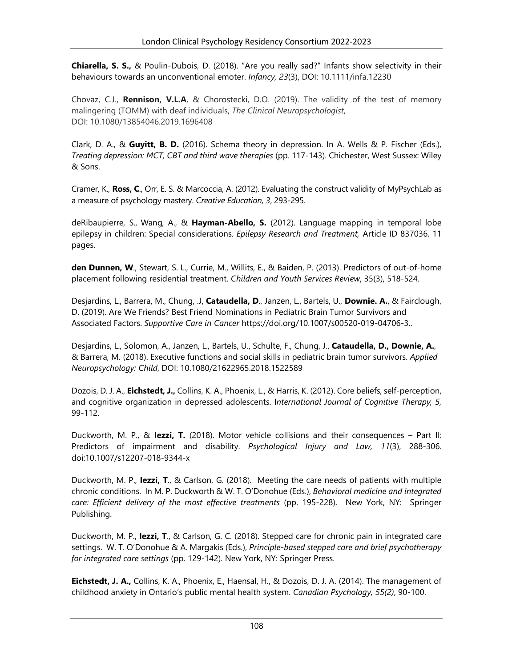**Chiarella, S. S.,** & Poulin-Dubois, D. (2018). "Are you really sad?" Infants show selectivity in their behaviours towards an unconventional emoter. *Infancy, 23*(3), DOI: 10.1111/infa.12230

Chovaz, C.J., **Rennison, V.L.A**, & Chorostecki, D.O. (2019). The validity of the test of memory malingering (TOMM) with deaf individuals, *The Clinical Neuropsychologist*, DOI: [10.1080/13854046.2019.1696408](https://doi.org/10.1080/13854046.2019.1696408)

Clark, D. A., & **Guyitt, B. D.** (2016). Schema theory in depression. In A. Wells & P. Fischer (Eds.), *Treating depression: MCT, CBT and third wave therapies* (pp. 117-143). Chichester, West Sussex: Wiley & Sons.

Cramer, K., **Ross, C**., Orr, E. S. & Marcoccia, A. (2012). Evaluating the construct validity of MyPsychLab as a measure of psychology mastery. *Creative Education, 3*, 293-295.

deRibaupierre, S., Wang, A., & **Hayman-Abello, S.** (2012). Language mapping in temporal lobe epilepsy in children: Special considerations. *Epilepsy Research and Treatment,* Article ID 837036, 11 pages.

**den Dunnen, W**., Stewart, S. L., Currie, M., Willits, E., & Baiden, P. (2013). Predictors of out-of-home placement following residential treatment. *Children and Youth Services Review*, 35(3), 518-524.

Desjardins, L., Barrera, M., Chung, .J, **Cataudella, D**., Janzen, L., Bartels, U., **Downie. A.**, & Fairclough, D. (2019). Are We Friends? Best Friend Nominations in Pediatric Brain Tumor Survivors and Associated Factors. *Supportive Care in Cancer* https://doi.org/10.1007/s00520-019-04706-3..

Desjardins, L., Solomon, A., Janzen, L., Bartels, U., Schulte, F., Chung, J., **Cataudella, D., Downie, A.**, & Barrera, M. (2018). Executive functions and social skills in pediatric brain tumor survivors. *Applied Neuropsychology: Child*, DOI: 10.1080/21622965.2018.1522589

Dozois, D. J. A., **Eichstedt, J.,** Collins, K. A., Phoenix, L., & Harris, K. (2012). Core beliefs, self-perception, and cognitive organization in depressed adolescents. I*nternational Journal of Cognitive Therapy, 5,* 99-112.

Duckworth, M. P., & **Iezzi, T.** (2018). Motor vehicle collisions and their consequences – Part II: Predictors of impairment and disability. *Psychological Injury and Law, 11*(3), 288-306. doi:10.1007/s12207-018-9344-x

Duckworth, M. P., **Iezzi, T**., & Carlson, G. (2018). Meeting the care needs of patients with multiple chronic conditions. In M. P. Duckworth & W. T. O'Donohue (Eds.), *Behavioral medicine and integrated care: Efficient delivery of the most effective treatments* (pp. 195-228). New York, NY: Springer Publishing.

Duckworth, M. P., **Iezzi, T**., & Carlson, G. C. (2018). Stepped care for chronic pain in integrated care settings. W. T. O'Donohue & A. Margakis (Eds.), *Principle-based stepped care and brief psychotherapy for integrated care settings* (pp. 129-142)*.* New York, NY: Springer Press.

**Eichstedt, J. A.,** Collins, K. A., Phoenix, E., Haensal, H., & Dozois, D. J. A. (2014). The management of childhood anxiety in Ontario's public mental health system. *Canadian Psychology, 55(2)*, 90-100.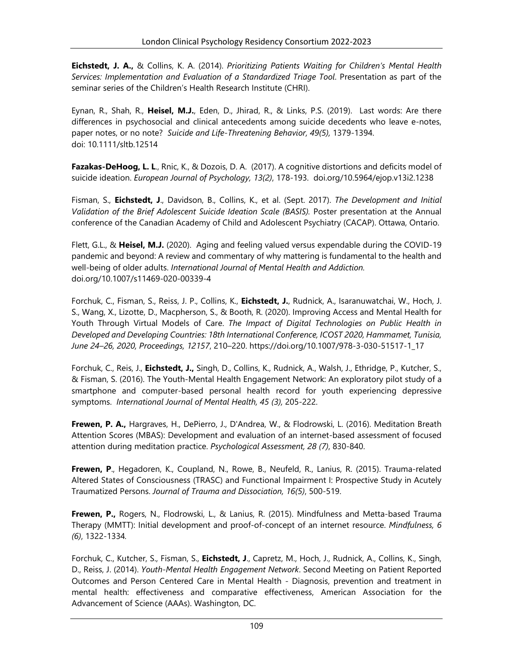**Eichstedt, J. A.,** & Collins, K. A. (2014). *Prioritizing Patients Waiting for Children's Mental Health Services: Implementation and Evaluation of a Standardized Triage Tool*. Presentation as part of the seminar series of the Children's Health Research Institute (CHRI).

Eynan, R., Shah, R., **Heisel, M.J.**, Eden, D., Jhirad, R., & Links, P.S. (2019). Last words: Are there differences in psychosocial and clinical antecedents among suicide decedents who leave e-notes, paper notes, or no note? *Suicide and Life-Threatening Behavior, 49(5),* 1379-1394. doi: 10.1111/sltb.12514

**Fazakas-DeHoog, L. L**., Rnic, K., & Dozois, D. A. (2017). A cognitive distortions and deficits model of suicide ideation. *European Journal of Psychology, 13(2)*, 178-193. doi.org/10.5964/ejop.v13i2.1238

Fisman, S., **Eichstedt, J**., Davidson, B., Collins, K., et al. (Sept. 2017). *The Development and Initial Validation of the Brief Adolescent Suicide Ideation Scale (BASIS).* Poster presentation at the Annual conference of the Canadian Academy of Child and Adolescent Psychiatry (CACAP). Ottawa, Ontario.

Flett, G.L., & **Heisel, M.J.** (2020). Aging and feeling valued versus expendable during the COVID-19 pandemic and beyond: A review and commentary of why mattering is fundamental to the health and well-being of older adults. *International Journal of Mental Health and Addiction.* doi.org/10.1007/s11469-020-00339-4

Forchuk, C., Fisman, S., Reiss, J. P., Collins, K., **Eichstedt, J.**, Rudnick, A., Isaranuwatchai, W., Hoch, J. S., Wang, X., Lizotte, D., Macpherson, S., & Booth, R. (2020). Improving Access and Mental Health for Youth Through Virtual Models of Care. *The Impact of Digital Technologies on Public Health in Developed and Developing Countries: 18th International Conference, ICOST 2020, Hammamet, Tunisia, June 24–26, 2020, Proceedings, 12157*, 210–220. https://doi.org/10.1007/978-3-030-51517-1\_17

Forchuk, C., Reis, J., **Eichstedt, J.,** Singh, D., Collins, K., Rudnick, A., Walsh, J., Ethridge, P., Kutcher, S., & Fisman, S. (2016). The Youth-Mental Health Engagement Network: An exploratory pilot study of a smartphone and computer-based personal health record for youth experiencing depressive symptoms. *International Journal of Mental Health, 45 (3),* 205-222.

**Frewen, P. A.,** Hargraves, H., DePierro, J., D'Andrea, W., & Flodrowski, L. (2016). Meditation Breath Attention Scores (MBAS): Development and evaluation of an internet-based assessment of focused attention during meditation practice. *Psychological Assessment, 28 (7)*, 830-840.

**Frewen, P**., Hegadoren, K., Coupland, N., Rowe, B., Neufeld, R., Lanius, R. (2015). Trauma-related Altered States of Consciousness (TRASC) and Functional Impairment I: Prospective Study in Acutely Traumatized Persons. *Journal of Trauma and Dissociation, 16(5)*, 500-519.

**Frewen, P.,** Rogers, N., Flodrowski, L., & Lanius, R. (2015). Mindfulness and Metta-based Trauma Therapy (MMTT): Initial development and proof-of-concept of an internet resource. *Mindfulness, 6 (6)*, 1322-1334*.*

Forchuk, C., Kutcher, S., Fisman, S., **Eichstedt, J**., Capretz, M., Hoch, J., Rudnick, A., Collins, K., Singh, D., Reiss, J. (2014). *Youth-Mental Health Engagement Network*. Second Meeting on Patient Reported Outcomes and Person Centered Care in Mental Health - Diagnosis, prevention and treatment in mental health: effectiveness and comparative effectiveness, American Association for the Advancement of Science (AAAs). Washington, DC.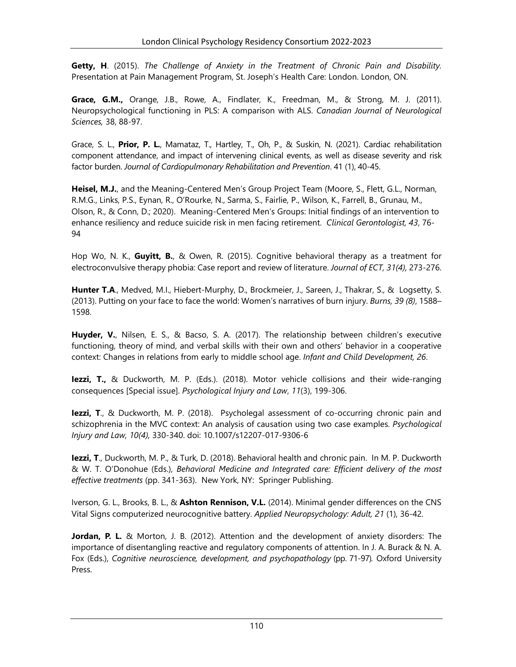**Getty, H**. (2015). *The Challenge of Anxiety in the Treatment of Chronic Pain and Disability.*  Presentation at Pain Management Program, St. Joseph's Health Care: London. London, ON.

**Grace, G.M.,** Orange, J.B., Rowe, A., Findlater, K., Freedman, M., & Strong, M. J. (2011). Neuropsychological functioning in PLS: A comparison with ALS. *Canadian Journal of Neurological Sciences,* 38, 88-97.

Grace, S. L., **Prior, P. L.**, Mamataz, T., Hartley, T., Oh, P., & Suskin, N. (2021). Cardiac rehabilitation component attendance, and impact of intervening clinical events, as well as disease severity and risk factor burden. *Journal of Cardiopulmonary Rehabilitation and Prevention*. 41 (1), 40-45.

**Heisel, M.J.**, and the Meaning-Centered Men's Group Project Team (Moore, S., Flett, G.L., Norman, R.M.G., Links, P.S., Eynan, R., O'Rourke, N., Sarma, S., Fairlie, P., Wilson, K., Farrell, B., Grunau, M., Olson, R., & Conn, D.; 2020). Meaning-Centered Men's Groups: Initial findings of an intervention to enhance resiliency and reduce suicide risk in men facing retirement. *Clinical Gerontologist, 43*, 76- 94

Hop Wo, N. K., **Guyitt, B.**, & Owen, R. (2015). Cognitive behavioral therapy as a treatment for electroconvulsive therapy phobia: Case report and review of literature. *Journal of ECT, 31(4),* 273-276.

Hunter T.A., Medved, M.I., Hiebert-Murphy, D., Brockmeier, J., Sareen, J., Thakrar, S., & Logsetty, S. (2013). Putting on your face to face the world: Women's narratives of burn injury. *Burns, 39 (8)*, 1588– 1598.

**Huyder, V.**, Nilsen, E. S., & Bacso, S. A. (2017). The relationship between children's executive functioning, theory of mind, and verbal skills with their own and others' behavior in a cooperative context: Changes in relations from early to middle school age. *Infant and Child Development, 26*.

**Iezzi, T.,** & Duckworth, M. P. (Eds.). (2018). Motor vehicle collisions and their wide-ranging consequences [Special issue]. *Psychological Injury and Law*, *11*(3), 199-306.

**Iezzi, T**., & Duckworth, M. P. (2018). Psycholegal assessment of co-occurring chronic pain and schizophrenia in the MVC context: An analysis of causation using two case examples. *Psychological Injury and Law, 10(4),* 330-340. doi: 10.1007/s12207-017-9306-6

**Iezzi, T**., Duckworth, M. P., & Turk, D. (2018). Behavioral health and chronic pain. In M. P. Duckworth & W. T. O'Donohue (Eds.), *Behavioral Medicine and Integrated care: Efficient delivery of the most effective treatments* (pp. 341-363). New York, NY: Springer Publishing.

Iverson, G. L., Brooks, B. L., & **Ashton Rennison, V.L.** (2014). Minimal gender differences on the CNS Vital Signs computerized neurocognitive battery. *Applied Neuropsychology: Adult, 21* (1), 36-42.

**Jordan, P. L.** & Morton, J. B. (2012). Attention and the development of anxiety disorders: The importance of disentangling reactive and regulatory components of attention. In J. A. Burack & N. A. Fox (Eds.), *Cognitive neuroscience, development, and psychopathology* (pp. 71-97)*.* Oxford University Press.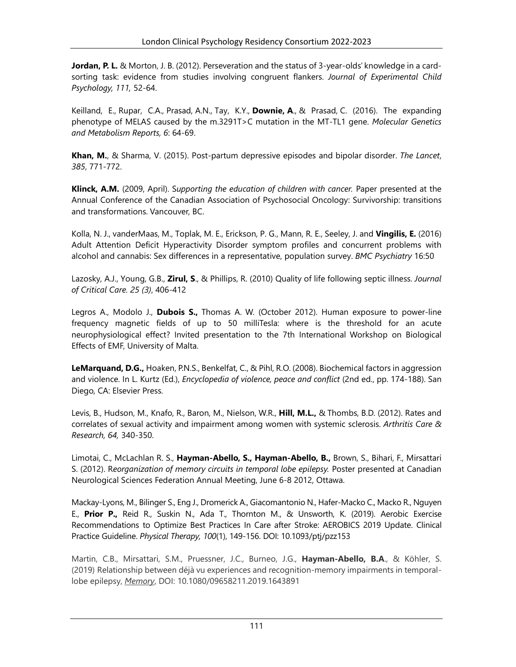**Jordan, P. L.** & Morton, J. B. (2012). Perseveration and the status of 3-year-olds' knowledge in a cardsorting task: evidence from studies involving congruent flankers. *Journal of Experimental Child Psychology, 111,* 52-64.

[Keilland, E.,](http://www.ncbi.nlm.nih.gov/pubmed/?term=Keilland%20E%5BAuthor%5D&cauthor=true&cauthor_uid=27014580) [Rupar, C.A.,](http://www.ncbi.nlm.nih.gov/pubmed/?term=Rupar%20CA%5BAuthor%5D&cauthor=true&cauthor_uid=27014580) [Prasad,](http://www.ncbi.nlm.nih.gov/pubmed/?term=Prasad%20AN%5BAuthor%5D&cauthor=true&cauthor_uid=27014580) A.N., [Tay, K.Y.,](http://www.ncbi.nlm.nih.gov/pubmed/?term=Tay%20KY%5BAuthor%5D&cauthor=true&cauthor_uid=27014580) **[Downie,](http://www.ncbi.nlm.nih.gov/pubmed/?term=Downie%20A%5BAuthor%5D&cauthor=true&cauthor_uid=27014580) A**., & [Prasad,](http://www.ncbi.nlm.nih.gov/pubmed/?term=Prasad%20C%5BAuthor%5D&cauthor=true&cauthor_uid=27014580) C. (2016). The expanding phenotype of MELAS caused by the m.3291T>C mutation in the MT-TL1 gene. *Molecular Genetics and Metabolism Reports, 6*: 64-69.

**Khan, M.**, & Sharma, V. (2015). Post-partum depressive episodes and bipolar disorder. *The Lancet*, *385*, 771-772.

**Klinck, A.M.** (2009, April). S*upporting the education of children with cancer.* Paper presented at the Annual Conference of the Canadian Association of Psychosocial Oncology: Survivorship: transitions and transformations. Vancouver, BC.

Kolla, N. J., vanderMaas, M., Toplak, M. E., Erickson, P. G., Mann, R. E., Seeley, J. and **Vingilis, E.** (2016) Adult Attention Deficit Hyperactivity Disorder symptom profiles and concurrent problems with alcohol and cannabis: Sex differences in a representative, population survey. *BMC Psychiatry* 16:50

Lazosky, A.J., Young, G.B., **Zirul, S**., & Phillips, R. (2010) Quality of life following septic illness. *Journal of Critical Care. 25 (3)*, 406-412

Legros A., Modolo J., **Dubois S.,** Thomas A. W. (October 2012). Human exposure to power-line frequency magnetic fields of up to 50 milliTesla: where is the threshold for an acute neurophysiological effect? Invited presentation to the 7th International Workshop on Biological Effects of EMF, University of Malta.

**LeMarquand, D.G.,** Hoaken, P.N.S., Benkelfat, C., & Pihl, R.O. (2008). Biochemical factors in aggression and violence. In L. Kurtz (Ed.), *Encyclopedia of violence, peace and conflict* (2nd ed., pp. 174-188). San Diego, CA: Elsevier Press.

Levis, B., Hudson, M., Knafo, R., Baron, M., Nielson, W.R., **Hill, M.L.,** & Thombs, B.D. (2012). Rates and correlates of sexual activity and impairment among women with systemic sclerosis. *Arthritis Care & Research, 64,* 340-350.

Limotai, C., McLachlan R. S., **Hayman-Abello, S., Hayman-Abello, B.,** Brown, S., Bihari, F., Mirsattari S. (2012). R*eorganization of memory circuits in temporal lobe epilepsy.* Poster presented at Canadian Neurological Sciences Federation Annual Meeting, June 6-8 2012, Ottawa.

Mackay-Lyons, M., Bilinger S., Eng J., Dromerick A., Giacomantonio N., Hafer-Macko C., Macko R., Nguyen E., **Prior P.,** Reid R., Suskin N., Ada T., Thornton M., & Unsworth, K. (2019). Aerobic Exercise Recommendations to Optimize Best Practices In Care after Stroke: AEROBICS 2019 Update. Clinical Practice Guideline. *Physical Therapy, 100*(1), 149-156. DOI: 10.1093/ptj/pzz153

Martin, C.B., Mirsattari, S.M., Pruessner, J.C., Burneo, J.G., **Hayman-Abello, B.A**., & Köhler, S. (2019) Relationship between déjà vu experiences and recognition-memory impairments in temporallobe epilepsy, *Memory*, DOI: 10.1080/09658211.2019.1643891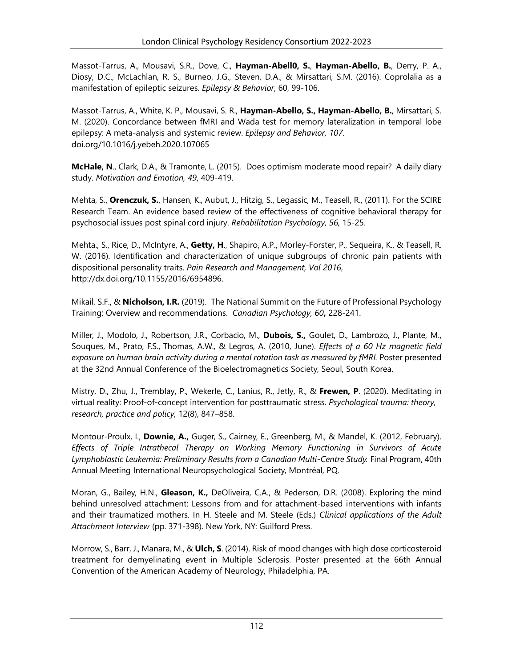Massot-Tarrus, A., Mousavi, S.R., Dove, C., **Hayman-Abell0, S.**, **Hayman-Abello, B.**, Derry, P. A., Diosy, D.C., McLachlan, R. S., Burneo, J.G., Steven, D.A., & Mirsattari, S.M. (2016). Coprolalia as a manifestation of epileptic seizures. *Epilepsy & Behavior*, 60, 99-106.

Massot-Tarrus, A., White, K. P., Mousavi, S. R., **Hayman-Abello, S., Hayman-Abello, B.**, Mirsattari, S. M. (2020). Concordance between fMRI and Wada test for memory lateralization in temporal lobe epilepsy: A meta-analysis and systemic review. *Epilepsy and Behavior, 107*. doi.org/10.1016/j.yebeh.2020.107065

**McHale, N**., Clark, D.A., & Tramonte, L. (2015). Does optimism moderate mood repair? A daily diary study. *Motivation and Emotion, 49*, 409-419.

Mehta, S., **Orenczuk, S.**, Hansen, K., Aubut, J., Hitzig, S., Legassic, M., Teasell, R., (2011). For the SCIRE Research Team. An evidence based review of the effectiveness of cognitive behavioral therapy for psychosocial issues post spinal cord injury. *Rehabilitation Psychology, 56,* 15-25.

Mehta., S., Rice, D., McIntyre, A., **Getty, H**., Shapiro, A.P., Morley-Forster, P., Sequeira, K., & Teasell, R. W. (2016). Identification and characterization of unique subgroups of chronic pain patients with dispositional personality traits. *Pain Research and Management, Vol 2016*, http://dx.doi.org/10.1155/2016/6954896.

Mikail, S.F., & **Nicholson, I.R.** (2019). The National Summit on the Future of Professional Psychology Training: Overview and recommendations. *Canadian Psychology, 60***,** 228-241.

Miller, J., Modolo, J., Robertson, J.R., Corbacio, M., **Dubois, S.,** Goulet, D., Lambrozo, J., Plante, M., Souques, M., Prato, F.S., Thomas, A.W., & Legros, A. (2010, June). *Effects of a 60 Hz magnetic field exposure on human brain activity during a mental rotation task as measured by fMRI.* Poster presented at the 32nd Annual Conference of the Bioelectromagnetics Society, Seoul, South Korea.

Mistry, D., Zhu, J., Tremblay, P., Wekerle, C., Lanius, R., Jetly, R., & **Frewen, P**. (2020). Meditating in virtual reality: Proof-of-concept intervention for posttraumatic stress. *Psychological trauma: theory, research, practice and policy,* 12(8), 847–858.

Montour-Proulx, I., **Downie, A.,** Guger, S., Cairney, E., Greenberg, M., & Mandel, K. (2012, February). *Effects of Triple Intrathecal Therapy on Working Memory Functioning in Survivors of Acute Lymphoblastic Leukemia: Preliminary Results from a Canadian Multi-Centre Study.* Final Program, 40th Annual Meeting International Neuropsychological Society, Montréal, PQ.

Moran, G., Bailey, H.N., **Gleason, K.,** DeOliveira, C.A., & Pederson, D.R. (2008). Exploring the mind behind unresolved attachment: Lessons from and for attachment-based interventions with infants and their traumatized mothers. In H. Steele and M. Steele (Eds.) *Clinical applications of the Adult Attachment Interview* (pp. 371-398). New York, NY: Guilford Press.

Morrow, S., Barr, J., Manara, M., & **Ulch, S**. (2014). Risk of mood changes with high dose corticosteroid treatment for demyelinating event in Multiple Sclerosis. Poster presented at the 66th Annual Convention of the American Academy of Neurology, Philadelphia, PA.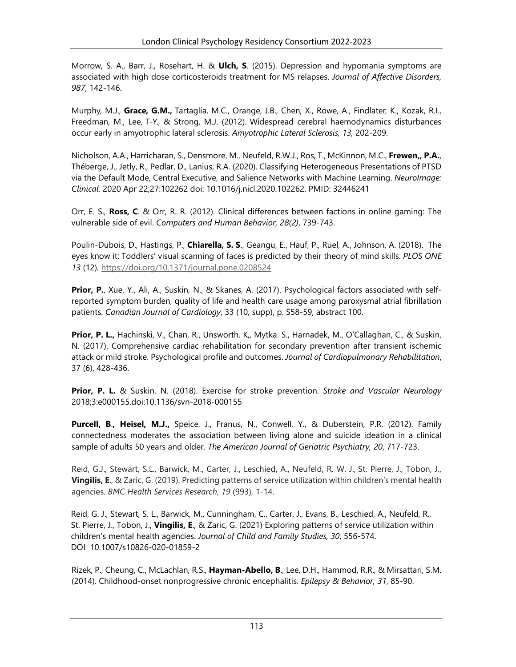Morrow, S. A., Barr, J., Rosehart, H. & **Ulch, S**. (2015). Depression and hypomania symptoms are associated with high dose corticosteroids treatment for MS relapses. *Journal of Affective Disorders, 987*, 142-146.

Murphy, M.J., **Grace, G.M.,** Tartaglia, M.C., Orange, J.B., Chen, X., Rowe, A., Findlater, K., Kozak, R.I., Freedman, M., Lee, T-Y., & Strong, M.J. (2012). Widespread cerebral haemodynamics disturbances occur early in amyotrophic lateral sclerosis. *Amyotrophic Lateral Sclerosis, 13,* 202-209.

Nicholson, A.A., Harricharan, S., Densmore, M., Neufeld, R.W.J., Ros, T., McKinnon, M.C., **Frewen,, P.A.**, Théberge, J., Jetly, R., Pedlar, D., Lanius, R.A. (2020). Classifying Heterogeneous Presentations of PTSD via the Default Mode, Central Executive, and Salience Networks with Machine Learning. *NeuroImage: Clinical.* 2020 Apr 22;27:102262 doi: 10.1016/j.nicl.2020.102262. PMID: 32446241

Orr, E. S., **Ross, C**. & Orr, R. R. (2012). Clinical differences between factions in online gaming: The vulnerable side of evil. *Computers and Human Behavior, 28(2)*, 739-743.

Poulin-Dubois, D., Hastings, P., **Chiarella, S. S**., Geangu, E., Hauf, P., Ruel, A., Johnson, A. (2018). The eyes know it: Toddlers' visual scanning of faces is predicted by their theory of mind skills. *PLOS ONE 13* (12)*.* <https://doi.org/10.1371/journal.pone.0208524>

**Prior, P.**, Xue, Y., Ali, A., Suskin, N., & Skanes, A. (2017). Psychological factors associated with selfreported symptom burden, quality of life and health care usage among paroxysmal atrial fibrillation patients. *Canadian Journal of Cardiology*, 33 (10, supp), p. S58-59, abstract 100.

**Prior, P. L.,** Hachinski, V., Chan, R., Unsworth. K,, Mytka. S., Harnadek, M., O'Callaghan, C., & Suskin, N. (2017). Comprehensive cardiac rehabilitation for secondary prevention after transient ischemic attack or mild stroke. Psychological profile and outcomes. *Journal of Cardiopulmonary Rehabilitation*, 37 (6), 428-436.

**Prior, P. L.** & Suskin, N. (2018). Exercise for stroke prevention. *Stroke and Vascular Neurology*  2018;3:e000155.doi:10.1136/svn-2018-000155

**Purcell, B**.**, Heisel, M.J.,** Speice, J., Franus, N., Conwell, Y., & Duberstein, P.R. (2012). Family connectedness moderates the association between living alone and suicide ideation in a clinical sample of adults 50 years and older. *The American Journal of Geriatric Psychiatry, 20*, 717-723.

Reid, G.J., Stewart, S.L., Barwick, M., Carter, J., Leschied, A., Neufeld, R. W. J., St. Pierre, J., Tobon, J., **Vingilis, E**., & Zaric, G. (2019). Predicting patterns of service utilization within children's mental health agencies. *BMC Health Services Research*, *19* (993), 1-14.

Reid, G. J., Stewart, S. L., Barwick, M., Cunningham, C., Carter, J., Evans, B., Leschied, A., Neufeld, R., St. Pierre, J., Tobon, J., **Vingilis, E**., & Zaric, G. (2021) Exploring patterns of service utilization within children's mental health agencies. *Journal of Child and Family Studies, 30*, 556-574. DOI 10.1007/s10826-020-01859-2

Rizek, P., Cheung, C., McLachlan, R.S., **Hayman-Abello, B**., Lee, D.H., Hammod, R.R., & Mirsattari, S.M. (2014). Childhood-onset nonprogressive chronic encephalitis. *Epilepsy & Behavior, 31*, 85-90.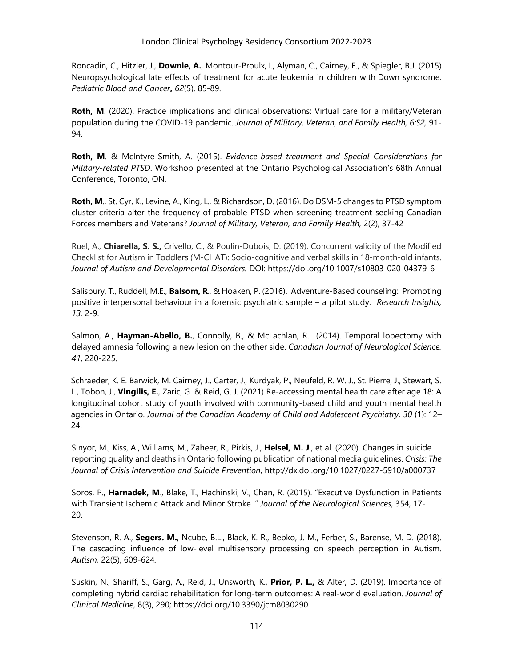[Roncadin,](http://www.ncbi.nlm.nih.gov/pubmed/?term=Roncadin%20C%5BAuthor%5D&cauthor=true&cauthor_uid=25545182) C., [Hitzler, J.](http://www.ncbi.nlm.nih.gov/pubmed/?term=Hitzler%20J%5BAuthor%5D&cauthor=true&cauthor_uid=25545182), **[Downie, A.](http://www.ncbi.nlm.nih.gov/pubmed/?term=Downie%20A%5BAuthor%5D&cauthor=true&cauthor_uid=25545182)**, [Montour-Proulx, I.,](http://www.ncbi.nlm.nih.gov/pubmed/?term=Montour-Proulx%20I%5BAuthor%5D&cauthor=true&cauthor_uid=25545182) [Alyman, C.,](http://www.ncbi.nlm.nih.gov/pubmed/?term=Alyman%20C%5BAuthor%5D&cauthor=true&cauthor_uid=25545182) [Cairney, E.,](http://www.ncbi.nlm.nih.gov/pubmed/?term=Cairney%20E%5BAuthor%5D&cauthor=true&cauthor_uid=25545182) & [Spiegler, B.J.](http://www.ncbi.nlm.nih.gov/pubmed/?term=Spiegler%20BJ%5BAuthor%5D&cauthor=true&cauthor_uid=25545182) (2015) Neuropsychological late effects of treatment for acute leukemia in children with Down syndrome. *[Pediatric Blood and Cancer](http://www.ncbi.nlm.nih.gov/pubmed/?term=roncadin+and+down+syndrome)***,** *62*(5), 85-89.

Roth, M. (2020). Practice implications and clinical observations: Virtual care for a military/Veteran population during the COVID-19 pandemic. *Journal of Military, Veteran, and Family Health, 6:S2,* 91- 94.

**Roth, M**. & McIntyre-Smith, A. (2015). *Evidence-based treatment and Special Considerations for Military-related PTSD*. Workshop presented at the Ontario Psychological Association's 68th Annual Conference, Toronto, ON.

**Roth, M**., St. Cyr, K., Levine, A., King, L., & Richardson, D. (2016). Do DSM-5 changes to PTSD symptom cluster criteria alter the frequency of probable PTSD when screening treatment-seeking Canadian Forces members and Veterans? *Journal of Military, Veteran, and Family Health,* 2(2), 37-42

Ruel, A., **Chiarella, S. S.,** Crivello, C., & Poulin-Dubois, D. (2019). Concurrent validity of the Modified Checklist for Autism in Toddlers (M-CHAT): Socio-cognitive and verbal skills in 18-month-old infants. *Journal of Autism and Developmental Disorders.* DOI: https://doi.org/10.1007/s10803-020-04379-6

Salisbury, T., Ruddell, M.E., **Balsom, R**., & Hoaken, P. (2016). Adventure-Based counseling: Promoting positive interpersonal behaviour in a forensic psychiatric sample – a pilot study. *Research Insights, 13,* 2-9.

Salmon, A., **Hayman-Abello, B.**, Connolly, B., & McLachlan, R. (2014). Temporal lobectomy with delayed amnesia following a new lesion on the other side. *Canadian Journal of Neurological Science. 41*, 220-225.

Schraeder, K. E. Barwick, M. Cairney, J., Carter, J., Kurdyak, P., Neufeld, R. W. J., St. Pierre, J., Stewart, S. L., Tobon, J., **Vingilis, E.**, Zaric, G. & Reid, G. J. (2021) Re-accessing mental health care after age 18: A longitudinal cohort study of youth involved with community-based child and youth mental health agencies in Ontario. *Journal of the Canadian Academy of Child and Adolescent Psychiatry, 30* (1): 12– 24.

Sinyor, M., Kiss, A., Williams, M., Zaheer, R., Pirkis, J., **Heisel, M. J**., et al. (2020). Changes in suicide reporting quality and deaths in Ontario following publication of national media guidelines. *Crisis: The Journal of Crisis Intervention and Suicide Prevention*, http://dx.doi.org/10.1027/0227-5910/a000737

Soros, P., **Harnadek, M**., Blake, T., Hachinski, V., Chan, R. (2015). "Executive Dysfunction in Patients with Transient Ischemic Attack and Minor Stroke ." *Journal of the Neurological Sciences*, 354, 17- 20.

Stevenson, R. A., **Segers. M.**, Ncube, B.L., Black, K. R., Bebko, J. M., Ferber, S., Barense, M. D. (2018). The cascading influence of low-level multisensory processing on speech perception in Autism. *Autism,* 22(5), 609-624*.*

Suskin, N., Shariff, S., Garg, A., Reid, J., Unsworth, K., **Prior, P. L.,** & Alter, D. (2019). Importance of completing hybrid cardiac rehabilitation for long-term outcomes: A real-world evaluation. *Journal of Clinical Medicine*, 8(3), 290; https://doi.org/10.3390/jcm8030290